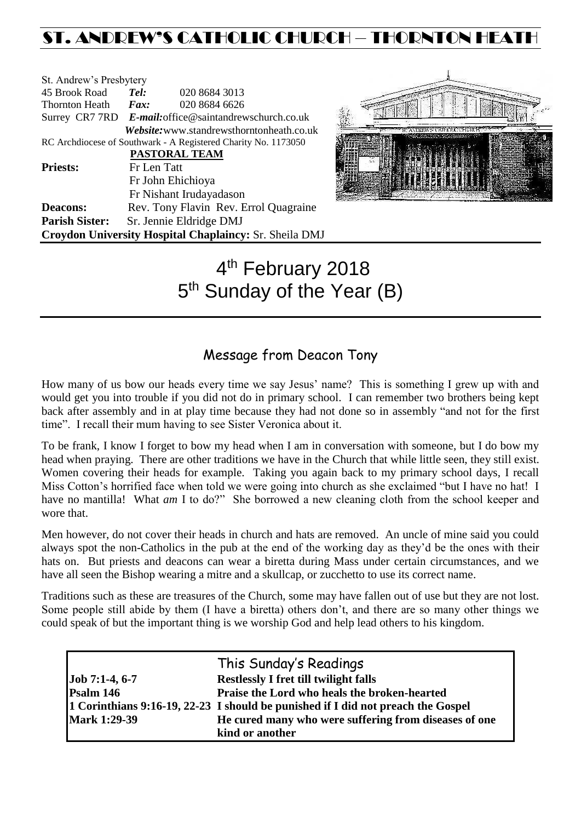# ST. ANDREW'S CATHOLIC CHURCH – THORNTON HEATH

| St. Andrew's Presbytery                                |                              |                                                                |  |  |  |
|--------------------------------------------------------|------------------------------|----------------------------------------------------------------|--|--|--|
| 45 Brook Road                                          | Tel:                         | 020 8684 3013                                                  |  |  |  |
| <b>Thornton Heath</b>                                  | $\boldsymbol{F}$ <i>ax</i> : | 020 8684 6626                                                  |  |  |  |
|                                                        |                              | Surrey CR7 7RD E-mail: office@saintandrewschurch.co.uk         |  |  |  |
|                                                        |                              | <i>Website:</i> www.standrewsthorntonheath.co.uk               |  |  |  |
|                                                        |                              | RC Archdiocese of Southwark - A Registered Charity No. 1173050 |  |  |  |
| PASTORAL TEAM                                          |                              |                                                                |  |  |  |
| <b>Priests:</b>                                        | Fr Len Tatt                  |                                                                |  |  |  |
|                                                        | Fr John Ehichioya            |                                                                |  |  |  |
|                                                        |                              | Fr Nishant Irudayadason                                        |  |  |  |
| <b>Deacons:</b>                                        |                              | Rev. Tony Flavin Rev. Errol Quagraine                          |  |  |  |
| <b>Parish Sister:</b>                                  |                              | Sr. Jennie Eldridge DMJ                                        |  |  |  |
| Croydon University Hospital Chaplaincy: Sr. Sheila DMJ |                              |                                                                |  |  |  |



# 4<sup>th</sup> February 2018 5<sup>th</sup> Sunday of the Year (B)

# Message from Deacon Tony

How many of us bow our heads every time we say Jesus' name? This is something I grew up with and would get you into trouble if you did not do in primary school. I can remember two brothers being kept back after assembly and in at play time because they had not done so in assembly "and not for the first time". I recall their mum having to see Sister Veronica about it.

To be frank, I know I forget to bow my head when I am in conversation with someone, but I do bow my head when praying. There are other traditions we have in the Church that while little seen, they still exist. Women covering their heads for example. Taking you again back to my primary school days, I recall Miss Cotton's horrified face when told we were going into church as she exclaimed "but I have no hat! I have no mantilla! What *am* I to do?" She borrowed a new cleaning cloth from the school keeper and wore that.

Men however, do not cover their heads in church and hats are removed. An uncle of mine said you could always spot the non-Catholics in the pub at the end of the working day as they'd be the ones with their hats on. But priests and deacons can wear a biretta during Mass under certain circumstances, and we have all seen the Bishop wearing a mitre and a skullcap, or zucchetto to use its correct name.

Traditions such as these are treasures of the Church, some may have fallen out of use but they are not lost. Some people still abide by them (I have a biretta) others don't, and there are so many other things we could speak of but the important thing is we worship God and help lead others to his kingdom.

|                     | This Sunday's Readings                                                           |
|---------------------|----------------------------------------------------------------------------------|
| $Job 7:1-4, 6-7$    | <b>Restlessly I fret till twilight falls</b>                                     |
| Psalm 146           | Praise the Lord who heals the broken-hearted                                     |
|                     | 1 Corinthians 9:16-19, 22-23 I should be punished if I did not preach the Gospel |
| <b>Mark 1:29-39</b> | He cured many who were suffering from diseases of one                            |
|                     | kind or another                                                                  |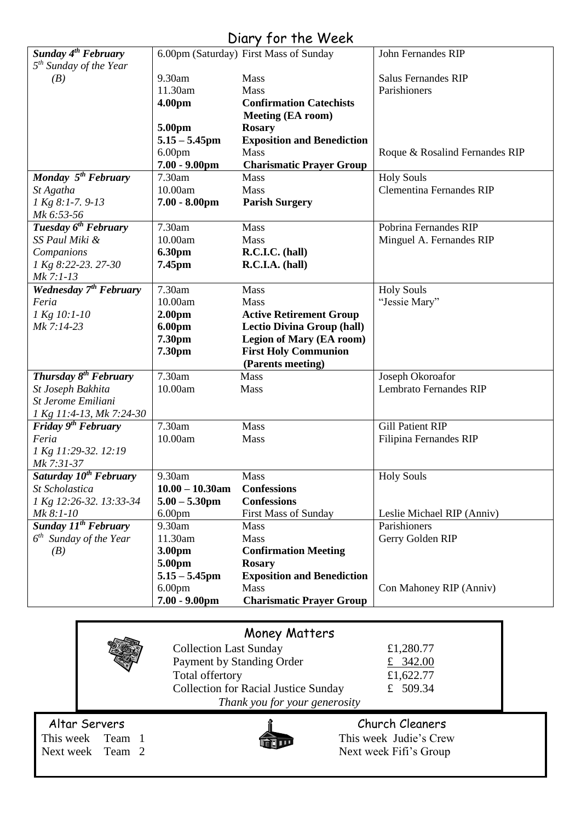# Diary for the Week

|                                    |                                     | $5.4$ , $1.5$ , $1.1$ , $1.5$                                       |                                 |
|------------------------------------|-------------------------------------|---------------------------------------------------------------------|---------------------------------|
| Sunday 4 <sup>th</sup> February    |                                     | 6.00pm (Saturday) First Mass of Sunday                              | John Fernandes RIP              |
| 5 <sup>th</sup> Sunday of the Year | 9.30am                              | Mass                                                                | <b>Salus Fernandes RIP</b>      |
| (B)                                | 11.30am                             | Mass                                                                | Parishioners                    |
|                                    | 4.00pm                              | <b>Confirmation Catechists</b>                                      |                                 |
|                                    |                                     | <b>Meeting (EA room)</b>                                            |                                 |
|                                    | 5.00pm                              | <b>Rosary</b>                                                       |                                 |
|                                    | $5.15 - 5.45$ pm                    | <b>Exposition and Benediction</b>                                   |                                 |
|                                    | 6.00 <sub>pm</sub>                  | <b>Mass</b>                                                         | Roque & Rosalind Fernandes RIP  |
|                                    | $7.00 - 9.00$ pm                    | <b>Charismatic Prayer Group</b>                                     |                                 |
| Monday 5 <sup>th</sup> February    | 7.30am                              | <b>Mass</b>                                                         | <b>Holy Souls</b>               |
| St Agatha                          | 10.00am                             | Mass                                                                | <b>Clementina Fernandes RIP</b> |
| 1 Kg 8:1-7.9-13                    | $7.00 - 8.00$ pm                    | <b>Parish Surgery</b>                                               |                                 |
| Mk 6:53-56                         |                                     |                                                                     |                                 |
| Tuesday 6 <sup>th</sup> February   | 7.30am                              | Mass                                                                | Pobrina Fernandes RIP           |
| SS Paul Miki &                     | 10.00am                             | Mass                                                                | Minguel A. Fernandes RIP        |
| Companions                         | <b>6.30pm</b>                       | R.C.I.C. (hall)                                                     |                                 |
| 1 Kg 8:22-23. 27-30                | 7.45pm                              | R.C.I.A. (hall)                                                     |                                 |
| Mk 7:1-13                          |                                     |                                                                     |                                 |
| Wednesday 7 <sup>th</sup> February | 7.30am                              | Mass                                                                | <b>Holy Souls</b>               |
| Feria                              | 10.00am                             | Mass                                                                | "Jessie Mary"                   |
| 1 Kg 10:1-10<br>Mk 7:14-23         | 2.00 <sub>pm</sub><br><b>6.00pm</b> | <b>Active Retirement Group</b><br><b>Lectio Divina Group (hall)</b> |                                 |
|                                    | 7.30pm                              | Legion of Mary (EA room)                                            |                                 |
|                                    | 7.30pm                              | <b>First Holy Communion</b>                                         |                                 |
|                                    |                                     | (Parents meeting)                                                   |                                 |
| Thursday 8 <sup>th</sup> February  | 7.30am                              | Mass                                                                | Joseph Okoroafor                |
| St Joseph Bakhita                  | 10.00am                             | <b>Mass</b>                                                         | <b>Lembrato Fernandes RIP</b>   |
| St Jerome Emiliani                 |                                     |                                                                     |                                 |
| 1 Kg 11:4-13, Mk 7:24-30           |                                     |                                                                     |                                 |
| Friday $9th$ February              | 7.30am                              | Mass                                                                | <b>Gill Patient RIP</b>         |
| Feria                              | 10.00am                             | Mass                                                                | Filipina Fernandes RIP          |
| 1 Kg 11:29-32. 12:19<br>Mk 7:31-37 |                                     |                                                                     |                                 |
| Saturday 10 <sup>th</sup> February | 9.30am                              | <b>Mass</b>                                                         | <b>Holy Souls</b>               |
| St Scholastica                     | $10.00 - 10.30$ am                  | <b>Confessions</b>                                                  |                                 |
| 1 Kg 12:26-32. 13:33-34            | $5.00 - 5.30$ pm                    | <b>Confessions</b>                                                  |                                 |
| Mk 8:1-10                          | 6.00 <sub>pm</sub>                  | <b>First Mass of Sunday</b>                                         | Leslie Michael RIP (Anniv)      |
| Sunday 11 <sup>th</sup> February   | 9.30am                              | Mass                                                                | Parishioners                    |
| $6^{th}$ Sunday of the Year        | 11.30am                             | Mass                                                                | Gerry Golden RIP                |
| (B)                                | 3.00pm                              | <b>Confirmation Meeting</b>                                         |                                 |
|                                    | 5.00pm                              | <b>Rosary</b>                                                       |                                 |
|                                    | $5.15 - 5.45$ pm                    | <b>Exposition and Benediction</b>                                   |                                 |
|                                    |                                     |                                                                     |                                 |
|                                    | 6.00 <sub>pm</sub>                  | Mass                                                                | Con Mahoney RIP (Anniv)         |
|                                    | $7.00 - 9.00$ pm                    | <b>Charismatic Prayer Group</b>                                     |                                 |

|                               | <b>Money Matters</b>                        |                        |  |  |  |
|-------------------------------|---------------------------------------------|------------------------|--|--|--|
|                               | <b>Collection Last Sunday</b>               | £1,280.77              |  |  |  |
|                               | Payment by Standing Order                   | £ 342.00               |  |  |  |
|                               | Total offertory                             | £1,622.77              |  |  |  |
|                               | <b>Collection for Racial Justice Sunday</b> | £ $509.34$             |  |  |  |
| Thank you for your generosity |                                             |                        |  |  |  |
| Altar Servers                 |                                             | Church Cleaners        |  |  |  |
| This week Team 1              |                                             | This week Judie's Crew |  |  |  |
| Next week Team 2              |                                             | Next week Fifi's Group |  |  |  |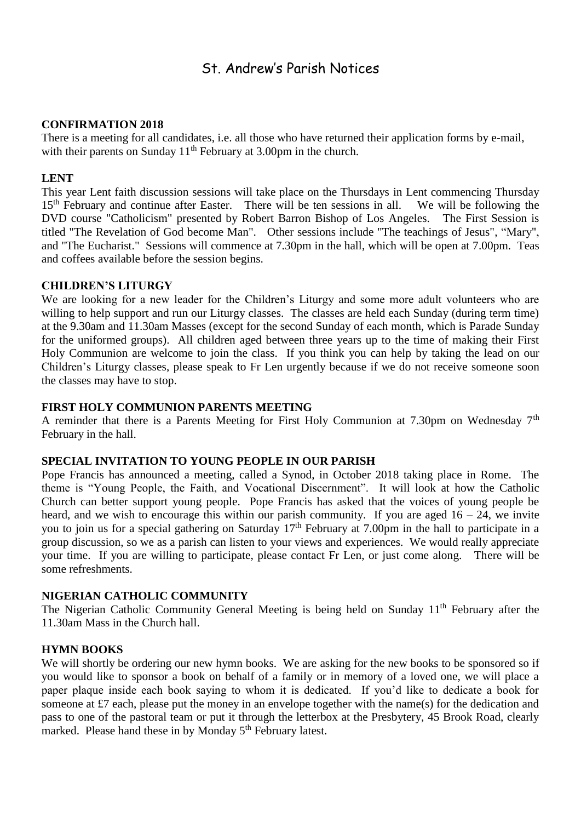# St. Andrew's Parish Notices

#### **CONFIRMATION 2018**

There is a meeting for all candidates, i.e. all those who have returned their application forms by e-mail, with their parents on Sunday 11<sup>th</sup> February at 3.00pm in the church.

## **LENT**

This year Lent faith discussion sessions will take place on the Thursdays in Lent commencing Thursday 15<sup>th</sup> February and continue after Easter. There will be ten sessions in all. We will be following the DVD course "Catholicism" presented by Robert Barron Bishop of Los Angeles. The First Session is titled "The Revelation of God become Man". Other sessions include "The teachings of Jesus", "Mary", and "The Eucharist." Sessions will commence at 7.30pm in the hall, which will be open at 7.00pm. Teas and coffees available before the session begins.

## **CHILDREN'S LITURGY**

We are looking for a new leader for the Children's Liturgy and some more adult volunteers who are willing to help support and run our Liturgy classes. The classes are held each Sunday (during term time) at the 9.30am and 11.30am Masses (except for the second Sunday of each month, which is Parade Sunday for the uniformed groups). All children aged between three years up to the time of making their First Holy Communion are welcome to join the class. If you think you can help by taking the lead on our Children's Liturgy classes, please speak to Fr Len urgently because if we do not receive someone soon the classes may have to stop.

# **FIRST HOLY COMMUNION PARENTS MEETING**

A reminder that there is a Parents Meeting for First Holy Communion at 7.30pm on Wednesday  $7<sup>th</sup>$ February in the hall.

#### **SPECIAL INVITATION TO YOUNG PEOPLE IN OUR PARISH**

Pope Francis has announced a meeting, called a Synod, in October 2018 taking place in Rome. The theme is "Young People, the Faith, and Vocational Discernment". It will look at how the Catholic Church can better support young people. Pope Francis has asked that the voices of young people be heard, and we wish to encourage this within our parish community. If you are aged  $16 - 24$ , we invite you to join us for a special gathering on Saturday 17<sup>th</sup> February at 7.00pm in the hall to participate in a group discussion, so we as a parish can listen to your views and experiences. We would really appreciate your time. If you are willing to participate, please contact Fr Len, or just come along. There will be some refreshments.

# **NIGERIAN CATHOLIC COMMUNITY**

The Nigerian Catholic Community General Meeting is being held on Sunday 11<sup>th</sup> February after the 11.30am Mass in the Church hall.

#### **HYMN BOOKS**

We will shortly be ordering our new hymn books. We are asking for the new books to be sponsored so if you would like to sponsor a book on behalf of a family or in memory of a loved one, we will place a paper plaque inside each book saying to whom it is dedicated. If you'd like to dedicate a book for someone at £7 each, please put the money in an envelope together with the name(s) for the dedication and pass to one of the pastoral team or put it through the letterbox at the Presbytery, 45 Brook Road, clearly marked. Please hand these in by Monday 5<sup>th</sup> February latest.